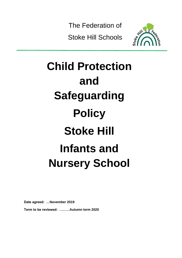The Federation of

Stoke Hill Schools



# **Child Protection and Safeguarding Policy Stoke Hill Infants and Nursery School**

**Date agreed: …November 2019**

**Term to be reviewed: ………Autumn term 2020**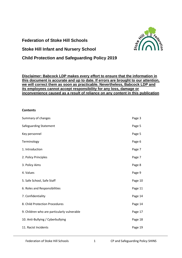#### **Federation of Stoke Hill Schools**

#### **Stoke Hill Infant and Nursery School**

### **Child Protection and Safeguarding Policy 2019**

**Disclaimer: Babcock LDP makes every effort to ensure that the information in this document is accurate and up to date. If errors are brought to our attention, we will correct them as soon as practicable. Nevertheless, Babcock LDP and its employees cannot accept responsibility for any loss, damage or inconvenience caused as a result of reliance on any content in this publication**

#### **Contents**

| Summary of changes                          | Page 3  |
|---------------------------------------------|---------|
| Safeguarding Statement                      | Page 5  |
| Key personnel                               | Page 5  |
| Terminology                                 | Page 6  |
| 1. Introduction                             | Page 7  |
| 2. Policy Principles                        | Page 7  |
| 3. Policy Aims                              | Page 8  |
| 4. Values                                   | Page 9  |
| 5. Safe School, Safe Staff                  | Page 10 |
| 6. Roles and Responsibilities               | Page 11 |
| 7. Confidentiality                          | Page 14 |
| 8. Child Protection Procedures              | Page 14 |
| 9. Children who are particularly vulnerable | Page 17 |
| 10. Anti-Bullying / Cyberbullying           | Page 18 |
| 11. Racist Incidents                        | Page 19 |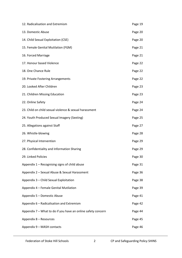| 12. Radicalisation and Extremism                             | Page 19 |
|--------------------------------------------------------------|---------|
| 13. Domestic Abuse                                           | Page 20 |
| 14. Child Sexual Exploitation (CSE)                          | Page 20 |
| 15. Female Genital Mutilation (FGM)                          | Page 21 |
| 16. Forced Marriage                                          | Page 21 |
| 17. Honour based Violence                                    | Page 22 |
| 18. One Chance Rule                                          | Page 22 |
| 19. Private Fostering Arrangements                           | Page 22 |
| 20. Looked After Children                                    | Page 23 |
| 21. Children Missing Education                               | Page 23 |
| 22. Online Safety                                            | Page 24 |
| 23. Child on child sexual violence & sexual harassment       | Page 24 |
| 24. Youth Produced Sexual Imagery (Sexting)                  | Page 25 |
| 25. Allegations against Staff                                | Page 27 |
| 26. Whistle-blowing                                          | Page 28 |
| 27. Physical Intervention                                    | Page 29 |
| 28. Confidentiality and Information Sharing                  | Page 29 |
| 29. Linked Policies                                          | Page 30 |
| Appendix 1 - Recognising signs of child abuse                | Page 31 |
| Appendix 2 - Sexual Abuse & Sexual Harassment                | Page 36 |
| Appendix 3 - Child Sexual Exploitation                       | Page 38 |
| Appendix 4 - Female Genital Mutilation                       | Page 39 |
| Appendix 5 - Domestic Abuse                                  | Page 41 |
| Appendix 6 - Radicalisation and Extremism                    | Page 42 |
| Appendix 7 – What to do if you have an online safety concern | Page 44 |
| Appendix 8 - Resources                                       | Page 45 |
| Appendix 9 - MASH contacts                                   | Page 46 |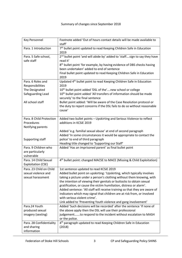#### Summary of changes since September 2018

| <b>Key Personnel</b>                        | Footnote added 'Out of hours contact details will be made available to<br>staff'                                                              |
|---------------------------------------------|-----------------------------------------------------------------------------------------------------------------------------------------------|
| Para. 1 Introduction                        | 7 <sup>th</sup> bullet point updated to read Keeping Children Safe in Education<br>2019                                                       |
| Para. 5 Safe school,<br>safe staff          | 2 <sup>nd</sup> bullet point 'and will abide by' added to 'staffsign to say they have<br>read it'                                             |
|                                             | 8 <sup>th</sup> bullet point 'for example, by having evidence of DBS checks having<br>been undertaken' added to end of sentence               |
|                                             | Final bullet point updated to read Keeping Children Safe in Education<br>2019                                                                 |
| Para. 6 Roles and<br>Responsibilities       | Updated 4 <sup>th</sup> bullet point to read Keeping Children Safe in Education<br>2019                                                       |
| The Designated                              | 10 <sup>th</sup> bullet point added 'DSL of the'new school or college                                                                         |
| Safeguarding Lead                           | 10 <sup>th</sup> bullet point added 'All transfers of information should be made                                                              |
| All school staff                            | securely' to the final sentence<br>Bullet point added: 'Will be aware of the Case Resolution protocol or                                      |
|                                             | the duty to report concerns if the DSL fails to do so without reasonable                                                                      |
|                                             | cause'                                                                                                                                        |
| Para. 8 Child Protection                    | Added two bullet points - Upskirting and Serious Violence to reflect                                                                          |
| Procedures                                  | additions in KCSiE 2019                                                                                                                       |
| Notifying parents                           |                                                                                                                                               |
|                                             | Added 'e.g. familial sexual abuse' at end of second paragraph<br>Added 'In some circumstances it would be appropriate to contact the          |
| Supporting staff                            | police' to end of third paragraph                                                                                                             |
|                                             | Heading title changed to 'Supporting our Staff'                                                                                               |
| Para. 9 Children who                        | Added 'Has an imprisoned parent' as final bullet point                                                                                        |
| are particularly                            |                                                                                                                                               |
| vulnerable                                  |                                                                                                                                               |
| Para. 14 Child Sexual<br>Exploitation (CSE) | 4 <sup>th</sup> bullet point: changed MACSE to MACE (Missing & Child Exploitation)                                                            |
| Para. 23 Child on Child                     | 1st sentence updated to read KCSiE 2019                                                                                                       |
| sexual violence and                         | Added bullet point on upskirting: 'Upskirting, which typically involves                                                                       |
| sexual harassment                           | taking a picture under a person's clothing without them knowing, with<br>the intention of viewing their genitals or buttocks to obtain sexual |
|                                             | gratification, or cause the victim humiliation, distress or alarm'.                                                                           |
|                                             | Added sentence: 'All staff will receive training so that they are aware of                                                                    |
|                                             | indicators which may signal that children are at risk from, or involved                                                                       |
|                                             | with serious violent crime'.                                                                                                                  |
|                                             | Link added to 'Preventing Youth violence and gang involvement'                                                                                |
| Para.24 Youth                               | Added 'Such decisions will be recorded' after the sentence 'If none of                                                                        |
| produced sexual                             | the above apply then the DSL will use their professional                                                                                      |
| imagery (sexting)                           | judgementto respond to the incident without escalation to MASH<br>or the police.                                                              |
| Para. 28 Confidentiality                    | 4 <sup>th</sup> paragraph updated to read Keeping Children Safe in Education                                                                  |
| and sharing                                 | (2018)                                                                                                                                        |
| information                                 |                                                                                                                                               |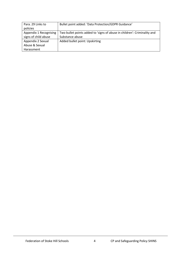| Para, 29 Links to<br>policies | Bullet point added: 'Data Protection/GDPR Guidance'                      |
|-------------------------------|--------------------------------------------------------------------------|
|                               |                                                                          |
| Appendix 1 Recognising        | Two bullet points added to 'signs of abuse in children': Criminality and |
| signs of child abuse          | Substance abuse                                                          |
| Appendix 2 Sexual             | Added bullet point: Upskirting                                           |
| Abuse & Sexual                |                                                                          |
| Harassment                    |                                                                          |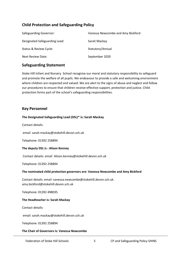#### **Child Protection and Safeguarding Policy**

| Safeguarding Governor:        | Vanessa Newcombe and Amy Bickford |
|-------------------------------|-----------------------------------|
| Designated Safeguarding Lead: | Sarah Mackay                      |
| Status & Review Cycle:        | Statutory/Annual                  |
| Next Review Date:             | September 2020                    |

#### **Safeguarding Statement**

Stoke Hill Infant and Nursery School recognise our moral and statutory responsibility to safeguard and promote the welfare of all pupils. We endeavour to provide a safe and welcoming environment where children are respected and valued. We are alert to the signs of abuse and neglect and follow our procedures to ensure that children receive effective support, protection and justice. Child protection forms part of the school's safeguarding responsibilities.

#### **Key Personnel**

#### **The Designated Safeguarding Lead (DSL)\* is: Sarah Mackay**

Contact details:

email: sarah.mackay@stokehill.devon.sch.uk

Telephone: 01392 258894

#### **The deputy DSL is : Alison Kenney**

Contact details: email Alison.kenney@stokehill.devon.sch.uk

Telephone: 01392 258894

#### **The nominated child protection governors are: Vanessa Newcombe and Amy Bickford**

Contact details: email :vanessa.newcombe@stokehill.devon.sch.uk. amy.bickford@stokehill.devon.sch.uk

Telephone: 01392 498035

#### **The Headteacher is: Sarah Mackay**

Contact details:

email: sarah.mackay@stokehill.devon.sch.uk

Telephone: 01392 258894

#### **The Chair of Governors is: Vanessa Newcombe**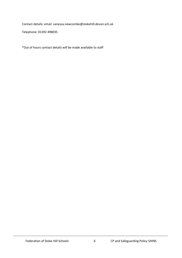Contact details: email vanessa.newcombe@stokehill.devon.sch.uk

Telephone: 01392 498035

\*Out of hours contact details will be made available to staff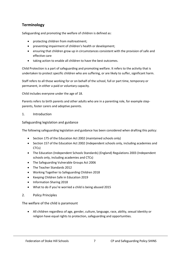### **Terminology**

Safeguarding and promoting the welfare of children is defined as:

- protecting children from maltreatment;
- preventing impairment of children's health or development;
- ensuring that children grow up in circumstances consistent with the provision of safe and effective care
- taking action to enable all children to have the best outcomes.

Child Protection is a part of safeguarding and promoting welfare. It refers to the activity that is undertaken to protect specific children who are suffering, or are likely to suffer, significant harm.

Staff refers to all those working for or on behalf of the school, full or part time, temporary or permanent, in either a paid or voluntary capacity.

Child includes everyone under the age of 18.

Parents refers to birth parents and other adults who are in a parenting role, for example stepparents, foster carers and adoptive parents.

#### 1. Introduction

#### Safeguarding legislation and guidance

The following safeguarding legislation and guidance has been considered when drafting this policy:

- Section 175 of the Education Act 2002 (maintained schools only)
- Section 157 of the Education Act 2002 (Independent schools only, including academies and CTCs)
- The Education (Independent Schools Standards) (England) Regulations 2003 (Independent schools only, including academies and CTCs)
- The Safeguarding Vulnerable Groups Act 2006
- The Teacher Standards 2012
- Working Together to Safeguarding Children 2018
- Keeping Children Safe in Education 2019
- Information Sharing 2018
- What to do if you're worried a child is being abused 2015
- 2. Policy Principles

#### The welfare of the child is paramount

• All children regardless of age, gender, culture, language, race, ability, sexual identity or religion have equal rights to protection, safeguarding and opportunities.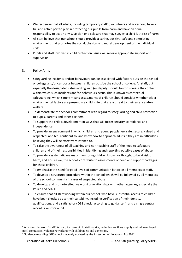- $\bullet$  We recognise that all adults, including temporary staff<sup>1</sup>, volunteers and governors, have a full and active part to play in protecting our pupils from harm and have an equal responsibility to act on any suspicion or disclosure that may suggest a child is at risk of harm;
- All staff believe that our school should provide a caring, positive, safe and stimulating environment that promotes the social, physical and moral development of the individual child.
- Pupils and staff involved in child protection issues will receive appropriate support and supervision.

#### 3. Policy Aims

- Safeguarding incidents and/or behaviours can be associated with factors outside the school or college and/or can occur between children outside the school or college. All staff, but especially the designated safeguarding lead (or deputy) should be considering the context within which such incidents and/or behaviours occur. This is known as contextual safeguarding, which simply means assessments of children should consider whether wider environmental factors are present in a child's life that are a threat to their safety and/or welfare.
- To demonstrate the school's commitment with regard to safeguarding and child protection to pupils, parents and other partners.
- To support the child's development in ways that will foster security, confidence and independence.
- To provide an environment in which children and young people feel safe, secure, valued and respected, and feel confident to, and know how to approach adults if they are in difficulties, believing they will be effectively listened to.
- To raise the awareness of all teaching and non-teaching staff of the need to safeguard children and of their responsibilities in identifying and reporting possible cases of abuse.
- To provide a systematic means of monitoring children known or thought to be at risk of harm, and ensure we, the school, contribute to assessments of need and support packages for those children.
- To emphasise the need for good levels of communication between all members of staff.
- To develop a structured procedure within the school which will be followed by all members of the school community in cases of suspected abuse.
- To develop and promote effective working relationships with other agencies, especially the Police and MASH.
- To ensure that all staff working within our school who have substantial access to children have been checked as to their suitability, including verification of their identity, qualifications, and a satisfactory DBS check (according to guidance)<sup>2</sup>, and a single central record is kept for audit.

<sup>&</sup>lt;sup>1</sup> Wherever the word "staff" is used, it covers ALL staff on site, including ancillary supply and self-employed staff, contractors, volunteers working with children etc and governors. <sup>2</sup> Guidance regarding DBS checks recently updated by the Protection of Freedoms Act 2012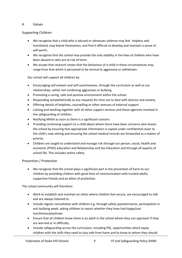#### 4. Values

#### Supporting Children

- We recognise that a child who is abused or witnesses violence may feel helpless and humiliated, may blame themselves, and find it difficult to develop and maintain a sense of self-worth.
- We recognise that the school may provide the only stability in the lives of children who have been abused or who are at risk of harm.
- We accept that research shows that the behaviour of a child in these circumstances may range from that which is perceived to be normal to aggressive or withdrawn.

Our school will support all children by:

- Encouraging self-esteem and self-assertiveness, through the curriculum as well as our relationships, whilst not condoning aggression or bullying.
- Promoting a caring, safe and positive environment within the school.
- Responding sympathetically to any requests for time out to deal with distress and anxiety.
- Offering details of helplines, counselling or other avenues of external support.
- Liaising and working together with all other support services and those agencies involved in the safeguarding of children.
- Notifying MASH as soon as there is a significant concern.
- Providing continuing support to a child about whom there have been concerns who leaves the school by ensuring that appropriate information is copied under confidential cover to the child's new setting and ensuring the school medical records are forwarded as a matter of priority.
- Children are taught to understand and manage risk through our person, social, health and economic (PHSE) education and Relationship and Sex Education and through all aspects of school life. This includes online safety.

#### Prevention / Protection

• We recognise that the school plays a significant part in the prevention of harm to our children by providing children with good lines of communication with trusted adults, supportive friends and an ethos of protection.

The school community will therefore:

- Work to establish and maintain an ethos where children feel secure, are encouraged to talk and are always listened to.
- Include regular consultation with children e.g. through safety questionnaires, participation in anti-bullying week, asking children to report whether they have had happy/sad lunchtimes/playtimes
- Ensure that all children know there is an adult in the school whom they can approach if they are worried or in difficulty.
- Include safeguarding across the curriculum, including PSE, opportunities which equip children with the skills they need to stay safe from harm and to know to whom they should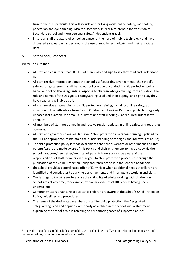turn for help. In particular this will include anti-bullying work, online-safety, road safety, pedestrian and cycle training. Also focussed work in Year 6 to prepare for transition to Secondary school and more personal safety/independent travel.

• Ensure all staff are aware of school guidance for their use of mobile technology and have discussed safeguarding issues around the use of mobile technologies and their associated risks.

#### 5. Safe School, Safe Staff

#### We will ensure that;

- All staff and volunteers read KCSiE Part 1 annually and sign to say they read and understood it.
- All staff receive information about the school's safeguarding arrangements, the school's safeguarding statement, staff behaviour policy (code of conduct)<sup>3</sup>, child protection policy, behaviour policy, the safeguarding response to children who go missing from education, the role and names of the Designated Safeguarding Lead and their deputy, and sign to say they have read and will abide by it.
- All staff receive safeguarding and child protection training, including online safety, at induction in line with advice from Devon Children and Families Partnership which is regularly updated (for example, via email, e-bulletins and staff meetings), as required, but at least annually;
- All members of staff are trained in and receive regular updates in online safety and reporting concerns;
- All staff and governors have regular Level 2 child protection awareness training, updated by the DSL as appropriate, to maintain their understanding of the signs and indicators of abuse;
- The child protection policy is made available via the school website or other means and that parents/carers are made aware of this policy and their entitlement to have a copy via the school handbook/newsletter/website. All parents/carers are made aware of the responsibilities of staff members with regard to child protection procedures through the publication of the Child Protection Policy and reference to it in the school's handbook.
- the school provides a coordinated offer of Early Help when additional needs of children are identified and contributes to early help arrangements and inter-agency working and plans;
- Our lettings policy will seek to ensure the suitability of adults working with children on school sites at any time, for example, by having evidence of DBS checks having been undertaken;
- Community users organising activities for children are aware of the school's Child Protection Policy, guidelines and procedures;
- The name of the designated members of staff for child protection, the Designated Safeguarding Lead and deputies, are clearly advertised in the school with a statement explaining the school's role in referring and monitoring cases of suspected abuse;

<sup>&</sup>lt;sup>3</sup> The code of conduct should include acceptable use of technology, staff & pupil relationship boundaries and communications, including the use of social media.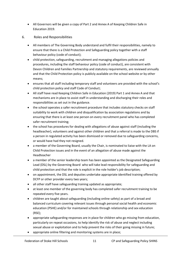- All Governors will be given a copy of Part 2 and Annex A of Keeping Children Safe in Education 2019.
- 6. Roles and Responsibilities
	- All members of The Governing Body understand and fulfil their responsibilities, namely to ensure that there is a Child Protection and Safeguarding policy together with a staff behaviour policy (code of conduct);
	- child protection, safeguarding, recruitment and managing allegations policies and procedures, including the staff behaviour policy (code of conduct), are consistent with Devon Children and Families Partnership and statutory requirements, are reviewed annually and that the Child Protection policy is publicly available on the school website or by other means;
	- ensures that all staff including temporary staff and volunteers are provided with the school's child protection policy and staff Code of Conduct;
	- All staff have read Keeping Children Safe in Education (2019) Part 1 and Annex A and that mechanisms are in place to assist staff in understanding and discharging their roles and responsibilities as set out in the guidance.
	- the school operates a safer recruitment procedure that includes statutory checks on staff suitability to work with children and disqualification by association regulations and by ensuring that there is at least one person on every recruitment panel who has completed safer recruitment training;
	- the school has procedures for dealing with allegations of abuse against staff (including the headteacher), volunteers and against other children and that a referral is made to the DBS if a person in regulated activity has been dismissed or removed due to safeguarding concerns, or would have had they not resigned.
	- a member of the Governing Board, usually the Chair, is nominated to liaise with the LA on Child Protection issues and in the event of an allegation of abuse made against the Headteacher
	- a member of the senior leadership team has been appointed as the Designated Safeguarding Lead (DSL) by the Governing Board who will take lead responsibility for safeguarding and child protection and that the role is explicit in the role holder's job description;
	- on appointment, the DSL and deputies undertake appropriate identified training offered by DCFP or other provider every two years;
	- all other staff have safeguarding training updated as appropriate;
	- at least one member of the governing body has completed safer recruitment training to be repeated every five years.
	- children are taught about safeguarding (including online safety) as part of a broad and balanced curriculum covering relevant issues through personal social health and economic education (PSHE) and/or for maintained schools through relationship and sex education (RSE);
	- appropriate safeguarding responses are in place for children who go missing from education, particularly on repeat occasions, to help identify the risk of abuse and neglect including sexual abuse or exploitation and to help prevent the risks of their going missing in future;
	- appropriate online filtering and monitoring systems are in place;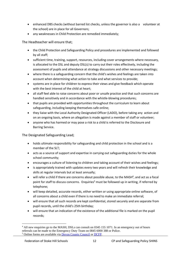- enhanced DBS checks (without barred list checks, unless the governor is also a volunteer at the school) are in place for all Governors;
- any weaknesses in Child Protection are remedied immediately;

The Headteacher will ensure that;

- the Child Protection and Safeguarding Policy and procedures are implemented and followed by all staff;
- sufficient time, training, support, resources, including cover arrangements where necessary, is allocated to the DSL and deputy DSL(s) to carry out their roles effectively, including the assessment of pupils and attendance at strategy discussions and other necessary meetings;
- where there is a safeguarding concern that the child's wishes and feelings are taken into account when determining what action to take and what services to provide;
- systems are in place for children to express their views and give feedback which operate with the best interest of the child at heart;
- all staff feel able to raise concerns about poor or unsafe practice and that such concerns are handled sensitively and in accordance with the whistle-blowing procedures;
- that pupils are provided with opportunities throughout the curriculum to learn about safeguarding, including keeping themselves safe online;
- they liaise with the Local Authority Designated Officer (LADO), before taking any action and on an ongoing basis, where an allegation is made against a member of staff or volunteer;
- anyone who has harmed or may pose a risk to a child is referred to the Disclosure and Barring Service.

The Designated Safeguarding Lead;

- holds ultimate responsibility for safeguarding and child protection in the school and is a member of the SLT;
- acts as a source of support and expertise in carrying out safeguarding duties for the whole school community;
- encourages a culture of listening to children and taking account of their wishes and feelings;
- is appropriately trained with updates every two years and will refresh their knowledge and skills at regular intervals but at least annually;
- will refer a child if there are concerns about possible abuse, to the MASH<sup>4</sup>, and act as a focal point for staff to discuss concerns. Enquiries<sup>5</sup> must be followed up in writing, if referred by telephone;
- will keep detailed, accurate records, either written or using appropriate online software, of all concerns about a child even if there is no need to make an immediate referral;
- will ensure that all such records are kept confidential, stored securely and are separate from pupil records, until the child's 25th birthday;
- will ensure that an indication of the existence of the additional file is marked on the pupil records;

<sup>4</sup> All new enquiries go to the MASH, DSLs can consult on 0345 155 1071. In an emergency out of hours referrals can be made to the Emergency Duty Team on 0845 6000 388 or Police. <sup>5</sup> Online forms are available via [Devon County Council](https://new.devon.gov.uk/educationandfamilies/child-protection/making-a-mash-enquiry) o[r DCFP.](https://www.devonchildrenandfamiliespartnership.org.uk/)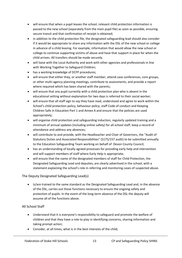- will ensure that when a pupil leaves the school, relevant child protection information is passed to the new school (separately from the main pupil file) as soon as possible, ensuring secure transit and that confirmation of receipt is obtained;
- in addition to the child protection file, the designated safeguarding lead should also consider if it would be appropriate to share any information with the DSL of the new school or college in advance of a child leaving. For example, information that would allow the new school or college to continue supporting victims of abuse and have that support in place for when the child arrives. All transfers should be made securely.
- will liaise with the Local Authority and work with other agencies and professionals in line with Working Together to Safeguard Children;
- has a working knowledge of DCFP procedures;
- will ensure that either they, or another staff member, attend case conferences, core groups, or other multi-agency planning meetings, contribute to assessments, and provide a report where required which has been shared with the parents;
- will ensure that any pupil currently with a child protection plan who is absent in the educational setting without explanation for two days is referred to their social worker;
- will ensure that all staff sign to say they have read, understood and agree to work within the School's child protection policy, behaviour policy, staff Code of conduct and Keeping Children Safe in Education Part 1 and Annex A and ensure that the policies are used appropriately;
- will organise child protection and safeguarding induction, regularly updated training and a minimum of annual updates (including online safety) for all school staff, keep a record of attendance and address any absences;
- will contribute to and provide, with the Headteacher and Chair of Governors, the "Audit of Statutory Duties and Associated Responsibilities" (S175/157 audit) to be submitted annually to the Education Safeguarding Team working on behalf of Devon County Council;
- has an understanding of locally agreed processes for providing early help and intervention and will support members of staff where Early Help is appropriate;
- will ensure that the name of the designated members of staff for Child Protection, the Designated Safeguarding Lead and deputies, are clearly advertised in the school, with a statement explaining the school's role in referring and monitoring cases of suspected abuse.

#### The Deputy Designated Safeguarding Lead(s)

• Is/are trained to the same standard as the Designated Safeguarding Lead and, in the absence of the DSL, carries out those functions necessary to ensure the ongoing safety and protection of pupils. In the event of the long-term absence of the DSL the deputy will assume all of the functions above.

#### All School Staff

- Understand that it is everyone's responsibility to safeguard and promote the welfare of children and that they have a role to play in identifying concerns, sharing information and taking prompt action;
- Consider, at all times, what is in the best interests of the child;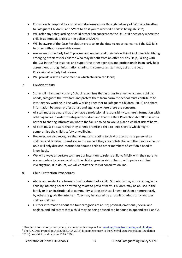- Know how to respond to a pupil who discloses abuse through delivery of 'Working together to Safeguard Children', and 'What to do if you're worried a child is being abused';
- Will refer any safeguarding or child protection concerns to the DSL or if necessary where the child is at immediate risk to the police or MASH;
- Will be aware of the Case Resolution protocol or the duty to report concerns if the DSL fails to do so without reasonable cause
- Are aware of the Early Help<sup>6</sup> process and understand their role within it including identifying emerging problems for children who may benefit from an offer of Early Help, liaising with the DSL in the first instance and supporting other agencies and professionals in an early help assessment through information sharing. In some cases staff may act as the Lead Professional in Early Help Cases.
- Will provide a safe environment in which children can learn;

#### 7. Confidentiality

- Stoke Hill Infant and Nursery School recognises that in order to effectively meet a child's needs, safeguard their welfare and protect them from harm the school must contribute to inter-agency working in line with Working Together to Safeguard Children (2018) and share information between professionals and agencies where there are concerns.
- All staff must be aware that they have a professional responsibility to share information with other agencies in order to safeguard children and that the Data Protection Act 2018<sup>7</sup> is not a barrier to sharing information where the failure to do so would place a child at risk of harm.
- All staff must be aware that they cannot promise a child to keep secrets which might compromise the child's safety or wellbeing.
- However, we also recognise that all matters relating to child protection are personal to children and families. Therefore, in this respect they are confidential and the Headteacher or DSLs will only disclose information about a child to other members of staff on a need to know basis.
- We will always undertake to share our intention to refer a child to MASH with their parents /carers unless to do so could put the child at greater risk of harm, or impede a criminal investigation. If in doubt, we will contact the MASH consultation line.

#### 8. Child Protection Procedures

- Abuse and neglect are forms of maltreatment of a child. Somebody may abuse or neglect a child by inflicting harm or by failing to act to prevent harm. Children may be abused in the family or in an institutional or community setting by those known to them or, more rarely, by others (e.g. via the internet). They may be abused by an adult or adults or by another child or children.
- Further information about the four categories of abuse; physical, emotional, sexual and neglect, and indicators that a child may be being abused can be found in appendices 1 and 2.

<sup>&</sup>lt;sup>6</sup> Detailed information on early help can be found in Chapter 1 of [Working Together to safeguard children](https://www.gov.uk/government/uploads/system/uploads/attachment_data/file/592101/Working_Together_to_Safeguard_Children_20170213.pdf) <sup>7</sup> The UK Data Protection Act 2018 (DPA 2018) is supplementary to the General Data Protection Regulation 2016 (the GDPR) and replaces DPA 1998.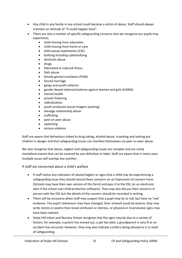- Any child in any family in any school could become a victim of abuse. Staff should always maintain an attitude of "It could happen here".
- There are also a number of specific safeguarding concerns that we recognise our pupils may experience;
	- child missing from education
	- child missing from home or care
	- child sexual exploitation (CSE)
	- bullying including cyberbullying
	- domestic abuse
	- drugs
	- fabricated or induced illness
	- faith abuse
	- female genital mutilation (FGM)
	- forced marriage
	- gangs and youth violence
	- gender-based violence/violence against women and girls (VAWG)
	- mental health
	- private fostering
	- radicalisation
	- youth produced sexual imagery (sexting)
	- teenage relationship abuse
	- trafficking
	- peer on peer abuse
	- upskirting
	- serious violence

Staff are aware that behaviours linked to drug taking, alcohol abuse, truanting and sexting put children in danger and that safeguarding issues can manifest themselves via peer on peer abuse.

We also recognise that abuse, neglect and safeguarding issues are complex and are rarely standalone events that can be covered by one definition or label. Staff are aware that in most cases multiple issues will overlap one another.

If staff are concerned about a child's welfare

- If staff notice any indicators of abuse/neglect or signs that a child may be experiencing a safeguarding issue they should record these concerns on an Expression of concern Form [Schools may have their own version of this form] and pass it to the DSL (or an electronic alert if the school uses child protection software). They may also discuss their concerns in person with the DSL but the details of the concern should be recorded in writing.
- There will be occasions when staff may suspect that a pupil may be at risk, but have no 'real' evidence. The pupil's behaviour may have changed, their artwork could be bizarre, they may write stories or poetry that reveal confusion or distress, or physical or inconclusive signs may have been noticed.
- Stoke Hill Infant and Nursery School recognise that the signs may be due to a variety of factors, for example, a parent has moved out, a pet has died, a grandparent is very ill or an accident has occurred. However, they may also indicate a child is being abused or is in need of safeguarding.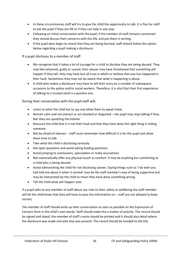- In these circumstances staff will try to give the child the opportunity to talk. It is fine for staff to ask the pupil if they are OK or if they can help in any way.
- Following an initial conversation with the pupil, if the member of staff remains concerned they should discuss their concerns with the DSL and put them in writing.
- If the pupil does begin to reveal that they are being harmed, staff should follow the advice below regarding a pupil making a disclosure.

#### If a pupil discloses to a member of staff

- We recognise that it takes a lot of courage for a child to disclose they are being abused. They may feel ashamed, guilty or scared, their abuser may have threatened that something will happen if they tell, they may have lost all trust in adults or believe that was has happened is their fault. Sometimes they may not be aware that what is happening is abuse.
- A child who makes a disclosure may have to tell their story on a number of subsequent occasions to the police and/or social workers. Therefore, it is vital that their first experience of talking to a trusted adult is a positive one.

During their conversation with the pupil staff will;

- Listen to what the child has to say and allow them to speak freely
- Remain calm and not overact or act shocked or disgusted the pupil may stop talking if they feel they are upsetting the listener
- Reassure the child that it is not their fault and that they have done the right thing in telling someone
- Not be afraid of silences staff must remember how difficult it is for the pupil and allow them time to talk
- Take what the child is disclosing seriously
- Ask open questions and avoid asking leading questions
- Avoid jumping to conclusions, speculation or make accusations
- Not automatically offer any physical touch as comfort. It may be anything but comforting to a child who is being abused.
- Avoid admonishing the child for not disclosing sooner. Saying things such as 'I do wish you had told me about it when it started' may be the staff member's way of being supportive but may be interpreted by the child to mean they have done something wrong.
- Tell the child what will happen next.

If a pupil talks to any member of staff about any risks to their safety or wellbeing the staff member will let the child know that they will have to pass the information on – staff are not allowed to keep secrets.

The member of staff should write up their conversation as soon as possible on the Expression of Concern form in the child's own words. Staff should make this a matter of priority. The record should be signed and dated, the member of staff's name should be printed and it should also detail where the disclosure was made and who else was present. The record should be handed to the DSL.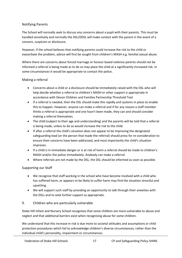#### Notifying Parents

The School will normally seek to discuss any concerns about a pupil with their parents. This must be handled sensitively and normally the DSL/DDSL will make contact with the parent in the event of a concern, suspicion or disclosure.

However, if the school believes that notifying parents could increase the risk to the child or exacerbate the problem, advice will first be sought from children's MASH e.g. familial sexual abuse.

Where there are concerns about forced marriage or honour based violence parents should not be informed a referral is being made as to do so may place the child at a significantly increased risk. In some circumstances it would be appropriate to contact the police.

#### Making a referral

- Concerns about a child or a disclosure should be immediately raised with the DSL who will help decide whether a referral to children's MASH or other support is appropriate in accordance with Devon Children and Families Partnership Threshold Tool
- If a referral is needed, then the DSL should make this rapidly and systems in place to enable this to happen. However, anyone can make a referral and if for any reason a staff member thinks a referral is appropriate and one hasn't been made, they can and should consider making a referral themselves.
- The child (subject to their age and understanding) and the parents will be told that a referral is being made, unless to do so would increase the risk to the child.
- If after a referral the child's situation does not appear to be improving the designated safeguarding lead (or the person that made the referral) should press for re-consideration to ensure their concerns have been addressed, and most importantly the child's situation improves.
- If a child is in immediate danger or is at risk of harm a referral should be made to children's MASH and/or the police immediately. Anybody can make a referral.
- Where referrals are not made by the DSL, the DSL should be informed as soon as possible.

#### Supporting our Staff

- We recognise that staff working in the school who have become involved with a child who has suffered harm, or appears to be likely to suffer harm may find the situation stressful and upsetting.
- We will support such staff by providing an opportunity to talk through their anxieties with the DSLs and to seek further support as appropriate.

#### 9. Children who are particularly vulnerable

Stoke Hill Infant and Nursery School recognises that some children are more vulnerable to abuse and neglect and that additional barriers exist when recognising abuse for some children.

We understand that this increase in risk is due more to societal attitudes and assumptions or child protection procedures which fail to acknowledge children's diverse circumstances, rather than the individual child's personality, impairment or circumstances.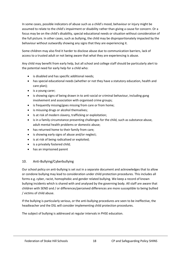In some cases, possible indicators of abuse such as a child's mood, behaviour or injury might be assumed to relate to the child's impairment or disability rather than giving a cause for concern. Or a focus may be on the child's disability, special educational needs or situation without consideration of the full picture. In other cases, such as bullying, the child may be disproportionately impacted by the behaviour without outwardly showing any signs that they are experiencing it.

Some children may also find it harder to disclose abuse due to communication barriers, lack of access to a trusted adult or not being aware that what they are experiencing is abuse.

Any child may benefit from early help, but all school and college staff should be particularly alert to the potential need for early help for a child who:

- is disabled and has specific additional needs;
- has special educational needs (whether or not they have a statutory education, health and care plan);
- is a young carer;
- is showing signs of being drawn in to anti-social or criminal behaviour, including gang involvement and association with organised crime groups;
- is frequently missing/goes missing from care or from home;
- is misusing drugs or alcohol themselves;
- Is at risk of modern slavery, trafficking or exploitation;
- is in a family circumstance presenting challenges for the child, such as substance abuse, adult mental health problems or domestic abuse;
- has returned home to their family from care;
- is showing early signs of abuse and/or neglect;
- is at risk of being radicalised or exploited;
- is a privately fostered child;
- has an imprisoned parent

#### 10. Anti-Bullying/Cyberbullying

Our school policy on anti-bullying is set out in a separate document and acknowledges that to allow or condone bullying may lead to consideration under child protection procedures. This includes all forms e.g. cyber, racist, homophobic and gender related bullying. We keep a record of known bullying incidents which is shared with and analysed by the governing body. All staff are aware that children with SEND and / or differences/perceived differences are more susceptible to being bullied / victims of child abuse.

If the bullying is particularly serious, or the anti-bullying procedures are seen to be ineffective, the headteacher and the DSL will consider implementing child protection procedures.

The subject of bullying is addressed at regular intervals in PHSE education.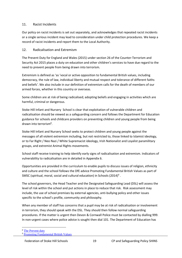#### 11. Racist Incidents

Our policy on racist incidents is set out separately, and acknowledges that repeated racist incidents or a single serious incident may lead to consideration under child protection procedures. We keep a record of racist incidents and report them to the Local Authority.

#### 12. Radicalisation and Extremism

The Prevent Duty for England and Wales (2015) under section 26 of the Counter-Terrorism and Security Act 2015 places a duty on education and other children's services to have due regard to the need to prevent people from being drawn into terrorism.

Extremism is defined as 'as 'vocal or active opposition to fundamental British values, including democracy, the rule of law, individual liberty and mutual respect and tolerance of different faiths and beliefs'. We also include in our definition of extremism calls for the death of members of our armed forces, whether in this country or overseas.

Some children are at risk of being radicalised; adopting beliefs and engaging in activities which are harmful, criminal or dangerous.

Stoke Hill Infant and Nursery School is clear that exploitation of vulnerable children and radicalisation should be viewed as a safeguarding concern and follows the Department for Education guidance for schools and childcare providers on preventing children and young people from being drawn into terrorism<sup>8</sup>.

Stoke Hill Infant and Nursery School seeks to protect children and young people against the messages of all violent extremism including, but not restricted to, those linked to Islamist ideology, or to Far Right / Neo Nazi / White Supremacist ideology, Irish Nationalist and Loyalist paramilitary groups, and extremist Animal Rights movements.

School staff receive training to help identify early signs of radicalisation and extremism. Indicators of vulnerability to radicalisation are in detailed in Appendix 6.

Opportunities are provided in the curriculum to enable pupils to discuss issues of religion, ethnicity and culture and the school follows the DfE advice Promoting Fundamental British Values as part of SMSC (spiritual, moral, social and cultural education) in Schools (2014)<sup>9</sup>.

The school governors, the Head Teacher and the Designated Safeguarding Lead (DSL) will assess the level of risk within the school and put actions in place to reduce that risk. Risk assessment may include, the use of school premises by external agencies, anti-bullying policy and other issues specific to the school's profile, community and philosophy.

When any member of staff has concerns that a pupil may be at risk of radicalisation or involvement in terrorism, they should speak with the DSL. They should then follow normal safeguarding procedures. If the matter is urgent then Devon & Cornwall Police must be contacted by dialling 999. In non-urgent cases where police advice is sought then dial 101. The Department of Education has

<sup>8</sup> [The Prevent duty](https://www.gov.uk/government/uploads/system/uploads/attachment_data/file/439598/prevent-duty-departmental-advice-v6.pdf)

<sup>9</sup> [Promoting Fundamental British Values](https://www.gov.uk/government/uploads/system/uploads/attachment_data/file/380595/SMSC_Guidance_Maintained_Schools.pdf)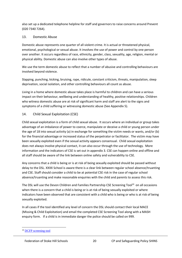also set up a dedicated telephone helpline for staff and governors to raise concerns around Prevent (020 7340 7264).

#### 13. Domestic Abuse

Domestic abuse represents one quarter of all violent crime. It is actual or threatened physical, emotional, psychological or sexual abuse. It involves the use of power and control by one person over another. It occurs regardless of race, ethnicity, gender, class, sexuality, age, religion, mental or physical ability. Domestic abuse can also involve other types of abuse.

We use the term domestic abuse to reflect that a number of abusive and controlling behaviours are involved beyond violence.

Slapping, punching, kicking, bruising, rape, ridicule, constant criticism, threats, manipulation, sleep deprivation, social isolation, and other controlling behaviours all count as abuse.

Living in a home where domestic abuse takes place is harmful to children and can have a serious impact on their behaviour, wellbeing and understanding of healthy, positive relationships. Children who witness domestic abuse are at risk of significant harm and staff are alert to the signs and symptoms of a child suffering or witnessing domestic abuse (See Appendix 5).

#### 14. Child Sexual Exploitation (CSE)

Child sexual exploitation is a form of child sexual abuse. It occurs where an individual or group takes advantage of an imbalance of power to coerce, manipulate or deceive a child or young person under the age of 18 into sexual activity (a) in exchange for something the victim needs or wants, and/or (b) for the financial advantage or increased status of the perpetrator or facilitator. The victim may have been sexually exploited even if the sexual activity appears consensual. Child sexual exploitation does not always involve physical contact, it can also occur through the use of technology. More information and the indicators of CSE is set out in appendix 3. CSE can happen online and offline and all staff should be aware of the link between online safety and vulnerability to CSE.

Any concerns that a child is being or is at risk of being sexually exploited should be passed without delay to the DSL. XXXX School is aware there is a clear link between regular school absence/truanting and CSE. Staff should consider a child to be at potential CSE risk in the case of regular school absence/truanting and make reasonable enquiries with the child and parents to assess this risk.

The DSL will use the Devon Children and Families Partnership CSE Screening Tool<sup>10</sup> on all occasions when there is a concern that a child is being or is at risk of being sexually exploited or where indicators have been observed that are consistent with a child who is being or who is at risk of being sexually exploited.

In all cases if the tool identified any level of concern the DSL should contact their local MACE (Missing & Child Exploitation) and email the completed CSE Screening Tool along with a MASH enquiry form. If a child is in immediate danger the police should be called on 999.

<sup>&</sup>lt;sup>10</sup> DCFP [screening tool](https://www.devonchildrenandfamiliespartnership.org.uk/workers-volunteers/child-sexual-exploitation/)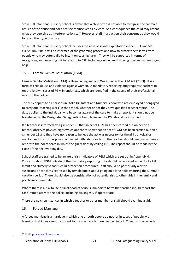Stoke Hill Infant and Nursery School is aware that a child often is not able to recognise the coercive nature of the abuse and does not see themselves as a victim. As a consequence the child may resent what they perceive as interference by staff. However, staff must act on their concerns as they would for any other type of abuse.

Stoke Hill Infant and Nursery School includes the risks of sexual exploitation in the PHSE and SRE curriculum. Pupils will be informed of the grooming process and how to protect themselves from people who may potentially be intent on causing harm. They will be supported in terms of recognising and assessing risk in relation to CSE, including online, and knowing how and where to get help.

#### 15. Female Genital Mutilation (FGM)

Female Genital Mutilation (FGM) is illegal in England and Wales under the FGM Act (2003). It is a form of child abuse and violence against women. A mandatory reporting duty requires teachers to report 'known' cases of FGM in under 18s, which are identified in the course of their professional work, to the police $^{11}$ .

The duty applies to all persons in Stoke Hill Infant and Nursery School who are employed or engaged to carry out 'teaching work' in the school, whether or not they have qualified teacher status. The duty applies to the individual who becomes aware of the case to make a report. It should not be transferred to the Designated Safeguarding Lead, however the DSL should be informed.

If a teacher is informed by a girl under 18 that an act of FGM has been carried out on her or a teacher observes physical signs which appear to show that an act of FGM has been carried out on a girl under 18 and they have no reason to believe the act was necessary for the girl's physical or mental health or for purposes connected with labour or birth, the teacher should personally make a report to the police force in which the girl resides by calling 101. The report should be made by the close of the next working day.

School staff are trained to be aware of risk indicators of FGM which are set out in Appendix 4. Concerns about FGM outside of the mandatory reporting duty should be reported as per Stoke Hill Infant and Nursery School's child protection procedures. Staff should be particularly alert to suspicions or concerns expressed by female pupils about going on a long holiday during the summer vacation period. There should also be consideration of potential risk to other girls in the family and practicing community.

Where there is a risk to life or likelihood of serious immediate harm the teacher should report the case immediately to the police, including dialling 999 if appropriate.

There are no circumstances in which a teacher or other member of staff should examine a girl.

#### 16. Forced Marriage

A forced marriage is a marriage in which one or both people do not (or in cases of people with learning disabilities cannot) consent to the marriage but are coerced into it. Coercion may include

<sup>&</sup>lt;sup>11</sup> [FGM procedural information](https://www.gov.uk/government/uploads/system/uploads/attachment_data/file/573782/FGM_Mandatory_Reporting_-_procedural_information_nov16_FINAL.pdf)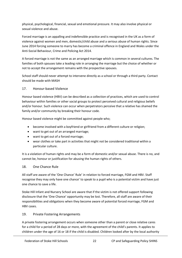physical, psychological, financial, sexual and emotional pressure. It may also involve physical or sexual violence and abuse.

Forced marriage is an appalling and indefensible practice and is recognised in the UK as a form of violence against women and men, domestic/child abuse and a serious abuse of human rights. Since June 2014 forcing someone to marry has become a criminal offence in England and Wales under the Anti-Social Behaviour, Crime and Policing Act 2014.

A forced marriage is not the same as an arranged marriage which is common in several cultures. The families of both spouses take a leading role in arranging the marriage but the choice of whether or not to accept the arrangement remains with the prospective spouses.

School staff should never attempt to intervene directly as a school or through a third party. Contact should be made with MASH

#### 17. Honour-based Violence

Honour based violence (HBV) can be described as a collection of practices, which are used to control behaviour within families or other social groups to protect perceived cultural and religious beliefs and/or honour. Such violence can occur when perpetrators perceive that a relative has shamed the family and/or community by breaking their honour code.

Honour based violence might be committed against people who;

- become involved with a boyfriend or girlfriend from a different culture or religion;
- want to get out of an arranged marriage;
- want to get out of a forced marriage;
- wear clothes or take part in activities that might not be considered traditional within a particular culture.

It is a violation of human rights and may be a form of domestic and/or sexual abuse. There is no, and cannot be, honour or justification for abusing the human rights of others.

#### 18. One Chance Rule

All staff are aware of the 'One Chance' Rule' in relation to forced marriage, FGM and HBV. Staff recognise they may only have one chance' to speak to a pupil who is a potential victim and have just one chance to save a life.

Stoke Hill Infant and Nursery School are aware that if the victim is not offered support following disclosure that the 'One Chance' opportunity may be lost. Therefore, all staff are aware of their responsibilities and obligations when they become aware of potential forced marriage, FGM and HBV cases.

#### 19. Private Fostering Arrangements

A private fostering arrangement occurs when someone other than a parent or close relative cares for a child for a period of 28 days or more, with the agreement of the child's parents. It applies to children under the age of 16 or 18 if the child is disabled. Children looked after by the local authority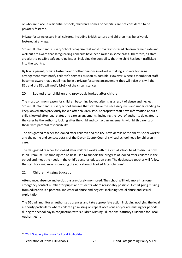or who are place in residential schools, children's homes or hospitals are not considered to be privately fostered.

Private fostering occurs in all cultures, including British culture and children may be privately fostered at any age.

Stoke Hill Infant and Nursery School recognise that most privately fostered children remain safe and well but are aware that safeguarding concerns have been raised in some cases. Therefore, all staff are alert to possible safeguarding issues, including the possibility that the child has been trafficked into the country.

By law, a parent, private foster carer or other persons involved in making a private fostering arrangement must notify children's services as soon as possible. However, where a member of staff becomes aware that a pupil may be in a private fostering arrangement they will raise this will the DSL and the DSL will notify MASH of the circumstances.

#### 20. Looked after children and previously looked after children

The most common reason for children becoming looked after is as a result of abuse and neglect. Stoke Hill Infant and Nursery school ensures that staff have the necessary skills and understanding to keep looked after/previously looked after children safe. Appropriate staff have information about a child's looked after legal status and care arrangements, including the level of authority delegated to the carer by the authority looking after the child and contact arrangements with birth parents or those with parental responsibility.

The designated teacher for looked after children and the DSL have details of the child's social worker and the name and contact details of the Devon County Council's virtual school head for children in care.

The designated teacher for looked after children works with the virtual school head to discuss how Pupil Premium Plus funding can be best used to support the progress of looked after children in the school and meet the needs in the child's personal education plan. The designated teacher will follow the statutory guidance 'Promoting the education of Looked After Children'.

#### 21. Children Missing Education

Attendance, absence and exclusions are closely monitored. The school will hold more than one emergency contact number for pupils and students where reasonably possible. A child going missing from education is a potential indicator of abuse and neglect, including sexual abuse and sexual exploitation.

The DSL will monitor unauthorised absences and take appropriate action including notifying the local authority particularly where children go missing on repeat occasions and/or are missing for periods during the school day in conjunction with 'Children Missing Education: Statutory Guidance for Local Authorities<sup>12</sup>.

<sup>&</sup>lt;sup>12</sup> [CME Statutory Guidance for Local Authorities](https://www.gov.uk/government/uploads/system/uploads/attachment_data/file/550416/Children_Missing_Education_-_statutory_guidance.pdf)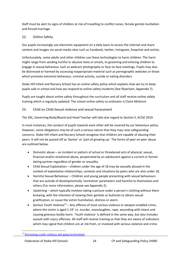Staff must be alert to signs of children at risk of travelling to conflict zones, female genital mutilation and forced marriage.

#### 22. Online Safety

Our pupils increasingly use electronic equipment on a daily basis to access the internet and share content and images via social media sites such as Facebook, twitter, Instagram, Snapchat and ooVoo.

Unfortunately, some adults and other children use these technologies to harm children. The harm might range from sending hurtful or abusive texts or emails, to grooming and enticing children to engage in sexual behaviour such as webcam photography or face-to-face meetings. Pupils may also be distressed or harmed by accessing inappropriate material such as pornographic websites or those which promote extremist behaviour, criminal activity, suicide or eating disorders

Stoke Hill Infant and Nursery School has an online safety policy which explains how we try to keep pupils safe in school and how we respond to online safety incidents (See flowchart, Appendix 7).

Pupils are taught about online safety throughout the curriculum and all staff receive online safety training which is regularly updated. The school online safety co-ordinator is Claire McKimm

#### 23. Child on Child Sexual violence and sexual harassment

The DSL, Governing Body/Board and Head Teacher will take due regard to Section 5, KCSiE 2019

In most instances, the conduct of pupils towards each other will be covered by our behaviour policy. However, some allegations may be of such a serious nature that they may raise safeguarding concerns. Stoke Hill Infant and Nursery School recognise that children are capable of abusing their peers. It will not be passed off as 'banter' or 'part of growing up'. The forms of peer on peer abuse are outlined below.

- Domestic abuse an incident or pattern of actual or threatened acts of physical, sexual, financial and/or emotional abuse, perpetrated by an adolescent against a current or former dating partner regardless of gender or sexuality.
- Child Sexual Exploitation children under the age of 18 may be sexually abused in the context of exploitative relationships, contexts and situations by peers who are also under 18.
- Harmful Sexual Behaviour Children and young people presenting with sexual behaviours that are outside of developmentally 'normative' parameters and harmful to themselves and others (For more information, please see Appendix 2).
- Upskirting which typically involves taking a picture under a person's clothing without them knowing, with the intention of viewing their genitals or buttocks to obtain sexual gratification, or cause the victim humiliation, distress or alarm
- **•** Serious Youth Violence<sup>13</sup> Any offence of most serious violence or weapon enabled crime, where the victim is aged 1-19' i.e. murder, manslaughter, rape, wounding with intent and causing grievous bodily harm. 'Youth violence' is defined in the same way, but also includes assault with injury offences. All staff will receive training so that they are aware of indicators which may signal that children are at risk from, or involved with serious violence and crime.

<sup>&</sup>lt;sup>13</sup> [Preventing youth violence and gang involvement](https://assets.publishing.service.gov.uk/government/uploads/system/uploads/attachment_data/file/418131/Preventing_youth_violence_and_gang_involvement_v3_March2015.pdf)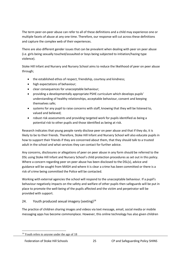The term peer-on-peer abuse can refer to all of these definitions and a child may experience one or multiple facets of abuse at any one time. Therefore, our response will cut across these definitions and capture the complex web of their experiences.

There are also different gender issues that can be prevalent when dealing with peer on peer abuse (i.e. girls being sexually touched/assaulted or boys being subjected to initiation/hazing type violence).

Stoke Hill Infant and Nursery and Nursery School aims to reduce the likelihood of peer on peer abuse through;

- the established ethos of respect, friendship, courtesy and kindness:
- high expectations of behaviour;
- clear consequences for unacceptable behaviour;
- providing a developmentally appropriate PSHE curriculum which develops pupils' understanding of healthy relationships, acceptable behaviour, consent and keeping themselves safe;
- systems for any pupil to raise concerns with staff, knowing that they will be listened to, valued and believed;
- robust risk assessments and providing targeted work for pupils identified as being a potential risk to other pupils and those identified as being at risk.

Research indicates that young people rarely disclose peer on peer abuse and that if they do, it is likely to be to their friends. Therefore, Stoke Hill Infant and Nursery School will also educate pupils in how to support their friends if they are concerned about them, that they should talk to a trusted adult in the school and what services they can contact for further advice.

Any concerns, disclosures or allegations of peer on peer abuse in any form should be referred to the DSL using Stoke Hill Infant and Nursery School's child protection procedures as set out in this policy. Where a concern regarding peer on peer abuse has been disclosed to the DSL(s), advice and guidance will be sought from MASH and where it is clear a crime has been committed or there is a risk of crime being committed the Police will be contacted.

Working with external agencies the school will respond to the unacceptable behaviour. If a pupil's behaviour negatively impacts on the safety and welfare of other pupils then safeguards will be put in place to promote the well-being of the pupils affected and the victim and perpetrator will be provided with support.

#### 24. Youth produced sexual imagery (sexting) $14$

The practice of children sharing images and videos via text message, email, social media or mobile messaging apps has become commonplace. However, this online technology has also given children

<sup>&</sup>lt;sup>14</sup> Youth refers to anyone under the age of 18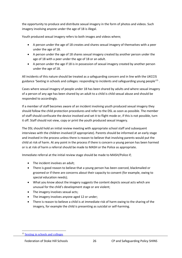the opportunity to produce and distribute sexual imagery in the form of photos and videos. Such imagery involving anyone under the age of 18 is illegal.

Youth produced sexual imagery refers to both images and videos where;

- A person under the age of 18 creates and shares sexual imagery of themselves with a peer under the age of 18.
- A person under the age of 18 shares sexual imagery created by another person under the age of 18 with a peer under the age of 18 or an adult.
- A person under the age if 18 is in possession of sexual imagery created by another person under the age of 18.

All incidents of this nature should be treated as a safeguarding concern and in line with the UKCCIS guidance 'Sexting in schools and colleges: responding to incidents and safeguarding young people<sup>15</sup>.

Cases where sexual imagery of people under 18 has been shared by adults and where sexual imagery of a person of any age has been shared by an adult to a child is child sexual abuse and should be responded to accordingly.

If a member of staff becomes aware of an incident involving youth produced sexual imagery they should follow the child protection procedures and refer to the DSL as soon as possible. The member of staff should confiscate the device involved and set it to flight mode or, if this is not possible, turn it off. Staff should not view, copy or print the youth produced sexual imagery.

The DSL should hold an initial review meeting with appropriate school staff and subsequent interviews with the children involved (if appropriate). Parents should be informed at an early stage and involved in the process unless there is reason to believe that involving parents would put the child at risk of harm. At any point in the process if there is concern a young person has been harmed or is at risk of harm a referral should be made to MASH or the Police as appropriate.

Immediate referral at the initial review stage should be made to MASH/Police if;

- The incident involves an adult:
- There is good reason to believe that a young person has been coerced, blackmailed or groomed or if there are concerns about their capacity to consent (for example, owing to special education needs);
- What you know about the imagery suggests the content depicts sexual acts which are unusual for the child's development stage or are violent;
- The imagery involves sexual acts;
- The imagery involves anyone aged 12 or under;
- There is reason to believe a child is at immediate risk of harm owing to the sharing of the imagery, for example the child is presenting as suicidal or self-harming.

<sup>15</sup> [Sexting in schools and colleges](https://www.gov.uk/government/groups/uk-council-for-child-internet-safety-ukccis)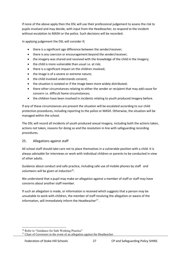If none of the above apply then the DSL will use their professional judgement to assess the risk to pupils involved and may decide, with input from the Headteacher, to respond to the incident without escalation to MASH or the police. Such decisions will be recorded.

In applying judgement the DSL will consider if;

- there is a significant age difference between the sender/receiver;
- there is any coercion or encouragement beyond the sender/receiver;
- the imagery was shared and received with the knowledge of the child in the imagery;
- the child is more vulnerable than usual i.e. at risk;
- there is a significant impact on the children involved;
- the image is of a severe or extreme nature;
- the child involved understands consent;
- the situation is isolated or if the image been more widely distributed;
- there other circumstances relating to either the sender or recipient that may add cause for concern i.e. difficult home circumstances;
- the children have been involved in incidents relating to youth produced imagery before.

If any of these circumstances are present the situation will be escalated according to our child protection procedures, including reporting to the police or MASH. Otherwise, the situation will be managed within the school.

The DSL will record all incidents of youth produced sexual imagery, including both the actions taken, actions not taken, reasons for doing so and the resolution in line with safeguarding recording procedures.

#### 25. Allegations against staff

All school staff should take care not to place themselves in a vulnerable position with a child. It is always advisable for interviews or work with individual children or parents to be conducted in view of other adults.

Guidance about conduct and safe practice, including safe use of mobile phones by staff and volunteers will be given at induction<sup>16</sup>.

We understand that a pupil may make an allegation against a member of staff or staff may have concerns about another staff member.

If such an allegation is made, or information is received which suggests that a person may be unsuitable to work with children, the member of staff receiving the allegation or aware of the information, will immediately inform the Headteacher<sup>17</sup>.

<sup>&</sup>lt;sup>16</sup> Refer to "Guidance for Safe Working Practice"

<sup>&</sup>lt;sup>17</sup> Chair of Governors in the event of an allegation against the Headteacher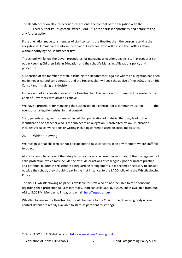The Headteacher on all such occasions will discuss the content of the allegation with the

Local Authority Designated Officer (LADO)<sup>18</sup> at the earliest opportunity and before taking any further action.

If the allegation made to a member of staff concerns the Headteacher, the person receiving the allegation will immediately inform the Chair of Governors who will consult the LADO as above, without notifying the Headteacher first.

The school will follow the Devon procedures for managing allegations against staff, procedures set out in Keeping Children Safe in Education and the school's Managing Allegations policy and procedures.

Suspension of the member of staff, excluding the Headteacher, against whom an allegation has been made, needs careful consideration, and the Headteacher will seek the advice of the LADO and an HR Consultant in making this decision.

In the event of an allegation against the Headteacher, the decision to suspend will be made by the Chair of Governors with advice as above.

We have a procedure for managing the suspension of a contract for a community user in the event of an allegation arising in that context.

Staff, parents and governors are reminded that publication of material that may lead to the identification of a teacher who is the subject of an allegation is prohibited by law. Publication includes verbal conversations or writing including content placed on social media sites.

#### 26. Whistle-blowing

We recognise that children cannot be expected to raise concerns in an environment where staff fail to do so.

All staff should be aware of their duty to raise concerns, where they exist, about the management of child protection, which may include the attitude or actions of colleagues, poor or unsafe practice and potential failures in the school's safeguarding arrangements. If it becomes necessary to consult outside the school, they should speak in the first instance, to the LADO following the Whistleblowing Policy.

The NSPCC whistleblowing helpline is available for staff who do not feel able to raise concerns regarding child protection failures internally. Staff can call: 0800 028 0285 line is available from 8:00 AM to 8:00 PM, Monday to Friday and email: [help@nspcc.org.uk](mailto:help@nspcc.org.uk)

Whistle-blowing re the Headteacher should be made to the Chair of the Governing Body whose contact details are readily available to staff (as pertinent to setting).

<sup>&</sup>lt;sup>18</sup> Duty LADO 01392 384964 or email [ladosecure-mailbox@devon.gov.uk](mailto:ladosecure-mailbox@devon.gov.uk)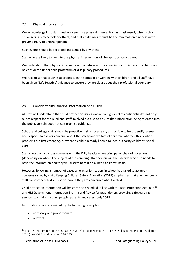#### 27. Physical Intervention

We acknowledge that staff must only ever use physical intervention as a last resort, when a child is endangering him/herself or others, and that at all times it must be the minimal force necessary to prevent injury to another person.

Such events should be recorded and signed by a witness.

Staff who are likely to need to use physical intervention will be appropriately trained.

We understand that physical intervention of a nature which causes injury or distress to a child may be considered under child protection or disciplinary procedures.

We recognise that touch is appropriate in the context or working with children, and all staff have been given 'Safe Practice' guidance to ensure they are clear about their professional boundary.

#### 28. Confidentiality, sharing information and GDPR

All staff will understand that child protection issues warrant a high level of confidentiality, not only out of respect for the pupil and staff involved but also to ensure that information being released into the public domain does not compromise evidence.

School and college staff should be proactive in sharing as early as possible to help identify, assess and respond to risks or concerns about the safety and welfare of children, whether this is when problems are first emerging, or where a child is already known to local authority children's social care.

Staff should only discuss concerns with the DSL, headteacher/principal or chair of governors (depending on who is the subject of the concern). That person will then decide who else needs to have the information and they will disseminate it on a 'need-to-know' basis.

However, following a number of cases where senior leaders in school had failed to act upon concerns raised by staff, Keeping Children Safe in Education (2019) emphasises that any member of staff can contact children's social care if they are concerned about a child.

Child protection information will be stored and handled in line with the Data Protection Act 2018 <sup>19</sup> and HM Government Information Sharing and Advice for practitioners providing safeguarding services to children, young people, parents and carers, July 2018

Information sharing is guided by the following principles:

- necessary and proportionate
- relevant

<sup>&</sup>lt;sup>19</sup> The UK Data Protection Act 2018 (DPA 2018) is supplementary to the General Data Protection Regulation 2016 (the GDPR) and replaces DPA 1998.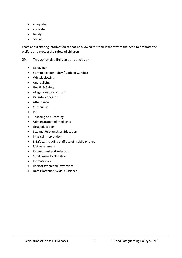- adequate
- accurate
- timely
- secure

Fears about sharing information cannot be allowed to stand in the way of the need to promote the welfare and protect the safety of children.

29. This policy also links to our policies on:

- Behaviour
- Staff Behaviour Policy / Code of Conduct
- Whistleblowing
- Anti-bullying
- Health & Safety
- Allegations against staff
- Parental concerns
- Attendance
- Curriculum
- PSHE
- Teaching and Learning
- Administration of medicines
- Drug Education
- Sex and Relationships Education
- Physical intervention
- E-Safety, including staff use of mobile phones
- Risk Assessment
- Recruitment and Selection
- Child Sexual Exploitation
- Intimate Care
- Radicalisation and Extremism
- Data Protection/GDPR Guidance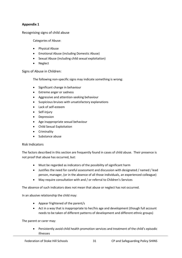#### **Appendix 1**

Recognising signs of child abuse

Categories of Abuse:

- Physical Abuse
- Emotional Abuse (including Domestic Abuse)
- Sexual Abuse (including child sexual exploitation)
- **Neglect**

Signs of Abuse in Children:

The following non-specific signs may indicate something is wrong:

- Significant change in behaviour
- Extreme anger or sadness
- Aggressive and attention-seeking behaviour
- Suspicious bruises with unsatisfactory explanations
- Lack of self-esteem
- Self-injury
- **Depression**
- Age inappropriate sexual behaviour
- Child Sexual Exploitation
- **Criminality**
- Substance abuse

#### Risk Indicators

The factors described in this section are frequently found in cases of child abuse. Their presence is not proof that abuse has occurred, but:

- Must be regarded as indicators of the possibility of significant harm
- Justifies the need for careful assessment and discussion with designated / named / lead person, manager, (or in the absence of all those individuals, an experienced colleague)
- May require consultation with and / or referral to Children's Services

The absence of such indicators does not mean that abuse or neglect has not occurred.

In an abusive relationship the child may:

- Appear frightened of the parent/s
- Act in a way that is inappropriate to her/his age and development (though full account needs to be taken of different patterns of development and different ethnic groups)

The parent or carer may:

• Persistently avoid child health promotion services and treatment of the child's episodic illnesses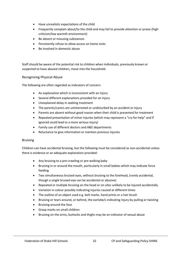- Have unrealistic expectations of the child
- Frequently complain about/to the child and may fail to provide attention or praise (high criticism/low warmth environment)
- Be absent or misusing substances
- Persistently refuse to allow access on home visits
- Be involved in domestic abuse

Staff should be aware of the potential risk to children when individuals, previously known or suspected to have abused children, move into the household.

#### Recognising Physical Abuse

The following are often regarded as indicators of concern:

- An explanation which is inconsistent with an injury
- Several different explanations provided for an injury
- Unexplained delay in seeking treatment
- The parents/carers are uninterested or undisturbed by an accident or injury
- Parents are absent without good reason when their child is presented for treatment
- Repeated presentation of minor injuries (which may represent a "cry for help" and if ignored could lead to a more serious injury)
- Family use of different doctors and A&E departments
- Reluctance to give information or mention previous injuries

#### **Bruising**

Children can have accidental bruising, but the following must be considered as non-accidental unless there is evidence or an adequate explanation provided:

- Any bruising to a pre-crawling or pre-walking baby
- Bruising in or around the mouth, particularly in small babies which may indicate force feeding
- Two simultaneous bruised eyes, without bruising to the forehead, (rarely accidental, though a single bruised eye can be accidental or abusive)
- Repeated or multiple bruising on the head or on sites unlikely to be injured accidentally
- Variation in colour possibly indicating injuries caused at different times
- The outline of an object used e.g. belt marks, hand prints or a hair brush
- Bruising or tears around, or behind, the earlobe/s indicating injury by pulling or twisting
- Bruising around the face
- Grasp marks on small children
- Bruising on the arms, buttocks and thighs may be an indicator of sexual abuse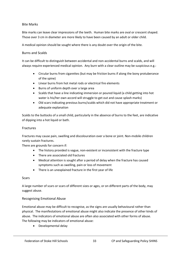#### Bite Marks

Bite marks can leave clear impressions of the teeth. Human bite marks are oval or crescent shaped. Those over 3 cm in diameter are more likely to have been caused by an adult or older child.

A medical opinion should be sought where there is any doubt over the origin of the bite.

#### Burns and Scalds

It can be difficult to distinguish between accidental and non-accidental burns and scalds, and will always require experienced medical opinion. Any burn with a clear outline may be suspicious e.g.:

- Circular burns from cigarettes (but may be friction burns if along the bony protuberance of the spine)
- Linear burns from hot metal rods or electrical fire elements
- Burns of uniform depth over a large area
- Scalds that have a line indicating immersion or poured liquid (a child getting into hot water is his/her own accord will struggle to get out and cause splash marks)
- Old scars indicating previous burns/scalds which did not have appropriate treatment or adequate explanation

Scalds to the buttocks of a small child, particularly in the absence of burns to the feet, are indicative of dipping into a hot liquid or bath.

#### Fractures

Fractures may cause pain, swelling and discolouration over a bone or joint. Non-mobile children rarely sustain fractures.

There are grounds for concern if:

- The history provided is vague, non-existent or inconsistent with the fracture type
- There are associated old fractures
- Medical attention is sought after a period of delay when the fracture has caused symptoms such as swelling, pain or loss of movement
- There is an unexplained fracture in the first year of life

#### Scars

A large number of scars or scars of different sizes or ages, or on different parts of the body, may suggest abuse.

#### Recognising Emotional Abuse

Emotional abuse may be difficult to recognise, as the signs are usually behavioural rather than physical. The manifestations of emotional abuse might also indicate the presence of other kinds of abuse. The indicators of emotional abuse are often also associated with other forms of abuse. The following may be indicators of emotional abuse:

• Developmental delay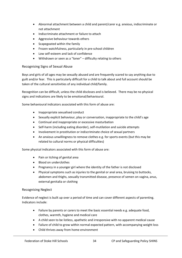- Abnormal attachment between a child and parent/carer e.g. anxious, indiscriminate or not attachment
- Indiscriminate attachment or failure to attach
- Aggressive behaviour towards others
- Scapegoated within the family
- Frozen watchfulness, particularly in pre-school children
- Low self-esteem and lack of confidence
- Withdrawn or seen as a "loner" difficulty relating to others

#### Recognising Signs of Sexual Abuse

Boys and girls of all ages may be sexually abused and are frequently scared to say anything due to guilt and/or fear. This is particularly difficult for a child to talk about and full account should be taken of the cultural sensitivities of any individual child/family.

Recognition can be difficult, unless the child discloses and is believed. There may be no physical signs and indications are likely to be emotional/behavioural.

Some behavioural indicators associated with this form of abuse are:

- Inappropriate sexualised conduct
- Sexually explicit behaviour, play or conversation, inappropriate to the child's age
- Continual and inappropriate or excessive masturbation
- Self-harm (including eating disorder), self-mutilation and suicide attempts
- Involvement in prostitution or indiscriminate choice of sexual partners
- An anxious unwillingness to remove clothes e.g. for sports events (but this may be related to cultural norms or physical difficulties)

Some physical indicators associated with this form of abuse are:

- Pain or itching of genital area
- Blood on underclothes
- Pregnancy in a younger girl where the identity of the father is not disclosed
- Physical symptoms such as injuries to the genital or anal area, bruising to buttocks, abdomen and thighs, sexually transmitted disease, presence of semen on vagina, anus, external genitalia or clothing

#### Recognising Neglect

Evidence of neglect is built up over a period of time and can cover different aspects of parenting. Indicators include:

- Failure by parents or carers to meet the basic essential needs e.g. adequate food, clothes, warmth, hygiene and medical care
- A child seen to be listless, apathetic and irresponsive with no apparent medical cause
- Failure of child to grow within normal expected pattern, with accompanying weight loss
- Child thrives away from home environment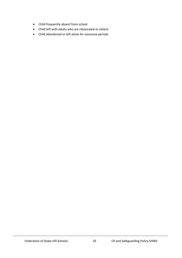- Child frequently absent from school
- Child left with adults who are intoxicated or violent
- Child abandoned or left alone for excessive periods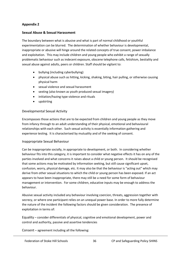#### **Appendix 2**

#### **Sexual Abuse & Sexual Harassment**

The boundary between what is abusive and what is part of normal childhood or youthful experimentation can be blurred. The determination of whether behaviour is developmental, inappropriate or abusive will hinge around the related concepts of true consent, power imbalance and exploitation. This may include children and young people who exhibit a range of sexually problematic behaviour such as indecent exposure, obscene telephone calls, fetishism, bestiality and sexual abuse against adults, peers or children. Staff should be vigilant to:

- bullying (including cyberbullying)
- physical abuse such as hitting, kicking, shaking, biting, hair pulling, or otherwise causing physical harm
- sexual violence and sexual harassment
- sexting (also known as youth produced sexual imagery)
- initiation/hazing type violence and rituals
- upskirting

#### Developmental Sexual Activity

Encompasses those actions that are to be expected from children and young people as they move from infancy through to an adult understanding of their physical, emotional and behavioural relationships with each other. Such sexual activity is essentially information gathering and experience testing. It is characterised by mutuality and of the seeking of consent.

#### Inappropriate Sexual Behaviour

Can be inappropriate socially, in appropriate to development, or both. In considering whether behaviour fits into this category, it is important to consider what negative effects it has on any of the parties involved and what concerns it raises about a child or young person. It should be recognised that some actions may be motivated by information seeking, but still cause significant upset, confusion, worry, physical damage, etc. It may also be that the behaviour is "acting out" which may derive from other sexual situations to which the child or young person has been exposed. If an act appears to have been inappropriate, there may still be a need for some form of behaviour management or intervention. For some children, educative inputs may be enough to address the behaviour.

Abusive sexual activity included any behaviour involving coercion, threats, aggression together with secrecy, or where one participant relies on an unequal power base. In order to more fully determine the nature of the incident the following factors should be given consideration. The presence of exploitation in terms of:

Equality – consider differentials of physical, cognitive and emotional development, power and control and authority, passive and assertive tendencies

Consent – agreement including all the following: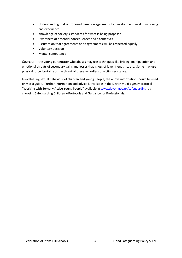- Understanding that is proposed based on age, maturity, development level, functioning and experience
- Knowledge of society's standards for what is being proposed
- Awareness of potential consequences and alternatives
- Assumption that agreements or disagreements will be respected equally
- Voluntary decision
- Mental competence

Coercion – the young perpetrator who abuses may use techniques like bribing, manipulation and emotional threats of secondary gains and losses that is loss of love, friendship, etc. Some may use physical force, brutality or the threat of these regardless of victim resistance.

In evaluating sexual behaviour of children and young people, the above information should be used only as a guide. Further information and advice is available in the Devon multi-agency protocol "Working with Sexually Active Young People" available at [www.devon.gov.uk/safeguarding](http://www.devon.gov.uk/safeguarding) by choosing Safeguarding Children – Protocols and Guidance for Professionals.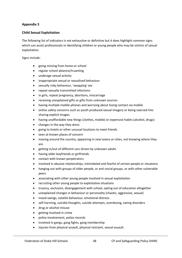#### **Appendix 3**

#### **Child Sexual Exploitation**

The following list of indicators is not exhaustive or definitive but it does highlight common signs which can assist professionals in identifying children or young people who may be victims of sexual exploitation.

Signs include:

- going missing from home or school
- regular school absence/truanting
- underage sexual activity
- inappropriate sexual or sexualised behaviour
- sexually risky behaviour, 'swapping' sex
- repeat sexually transmitted infections
- in girls, repeat pregnancy, abortions, miscarriage
- receiving unexplained gifts or gifts from unknown sources
- having multiple mobile phones and worrying about losing contact via mobile
- online safety concerns such as youth produced sexual imagery or being coerced into sharing explicit images.
- having unaffordable new things (clothes, mobile) or expensive habits (alcohol, drugs)
- changes in the way they dress
- going to hotels or other unusual locations to meet friends
- seen at known places of concern
- moving around the country, appearing in new towns or cities, not knowing where they are
- getting in/out of different cars driven by unknown adults
- having older boyfriends or girlfriends
- contact with known perpetrators
- involved in abusive relationships, intimidated and fearful of certain people or situations
- hanging out with groups of older people, or anti-social groups, or with other vulnerable peers
- associating with other young people involved in sexual exploitation
- recruiting other young people to exploitative situations
- truancy, exclusion, disengagement with school, opting out of education altogether
- unexplained changes in behaviour or personality (chaotic, aggressive, sexual)
- mood swings, volatile behaviour, emotional distress
- self-harming, suicidal thoughts, suicide attempts, overdosing, eating disorders
- drug or alcohol misuse
- getting involved in crime
- police involvement, police records
- involved in gangs, gang fights, gang membership
- injuries from physical assault, physical restraint, sexual assault.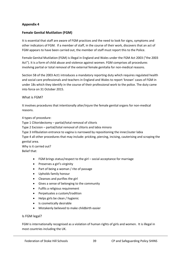#### **Appendix 4**

#### **Female Genital Mutilation (FGM)**

It is essential that staff are aware of FGM practices and the need to look for signs, symptoms and other indicators of FGM. If a member of staff, in the course of their work, discovers that an act of FGM appears to have been carried out, the member of staff must report this to the Police.

Female Genital Mutilation (FGM) is illegal in England and Wales under the FGM Act 2003 ("the 2003 Act"). It is a form of child abuse and violence against women. FGM comprises all procedures involving partial or total removal of the external female genitalia for non-medical reasons.

Section 5B of the 2003 Act1 introduces a mandatory reporting duty which requires regulated health and social care professionals and teachers in England and Wales to report 'known' cases of FGM in under 18s which they identify in the course of their professional work to the police. The duty came into force on 31 October 2015.

#### What is FGM?

It involves procedures that intentionally alter/injure the female genital organs for non-medical reasons.

4 types of procedure:

Type 1 Clitoridectomy – partial/total removal of clitoris

Type 2 Excision – partial/total removal of clitoris and labia minora

Type 3 Infibulation entrance to vagina is narrowed by repositioning the inner/outer labia

Type 4 all other procedures that may include: pricking, piercing, incising, cauterising and scraping the genital area.

Why is it carried out? Belief that:

- FGM brings status/respect to the girl social acceptance for marriage
- Preserves a girl's virginity
- Part of being a woman / rite of passage
- Upholds family honour
- Cleanses and purifies the girl
- Gives a sense of belonging to the community
- Fulfils a religious requirement
- Perpetuates a custom/tradition
- Helps girls be clean / hygienic
- Is cosmetically desirable
- Mistakenly believed to make childbirth easier

#### Is FGM legal?

FGM is internationally recognised as a violation of human rights of girls and women. It is illegal in most countries including the UK.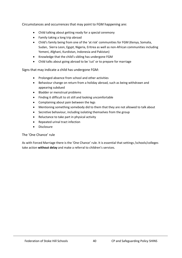Circumstances and occurrences that may point to FGM happening are:

- Child talking about getting ready for a special ceremony
- Family taking a long trip abroad
- Child's family being from one of the 'at risk' communities for FGM (Kenya, Somalia, Sudan, Sierra Leon, Egypt, Nigeria, Eritrea as well as non-African communities including Yemeni, Afghani, Kurdistan, Indonesia and Pakistan)
- Knowledge that the child's sibling has undergone FGM
- Child talks about going abroad to be 'cut' or to prepare for marriage

Signs that may indicate a child has undergone FGM:

- Prolonged absence from school and other activities
- Behaviour change on return from a holiday abroad, such as being withdrawn and appearing subdued
- Bladder or menstrual problems
- Finding it difficult to sit still and looking uncomfortable
- Complaining about pain between the legs
- Mentioning something somebody did to them that they are not allowed to talk about
- Secretive behaviour, including isolating themselves from the group
- Reluctance to take part in physical activity
- Repeated urinal tract infection
- **Disclosure**

#### The 'One Chance' rule

As with Forced Marriage there is the 'One Chance' rule. It is essential that settings /schools/colleges take action **without delay** and make a referral to children's services.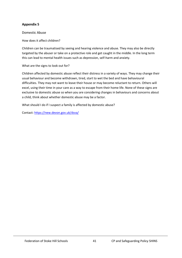#### **Appendix 5**

Domestic Abuse

How does it affect children?

Children can be traumatised by seeing and hearing violence and abuse. They may also be directly targeted by the abuser or take on a protective role and get caught in the middle. In the long term this can lead to mental health issues such as depression, self-harm and anxiety.

What are the signs to look out for?

Children affected by domestic abuse reflect their distress in a variety of ways. They may change their usual behaviour and become withdrawn, tired, start to wet the bed and have behavioural difficulties. They may not want to leave their house or may become reluctant to return. Others will excel, using their time in your care as a way to escape from their home life. None of these signs are exclusive to domestic abuse so when you are considering changes in behaviours and concerns about a child, think about whether domestic abuse may be a factor.

What should I do if I suspect a family is affected by domestic abuse?

Contact:<https://new.devon.gov.uk/dsva/>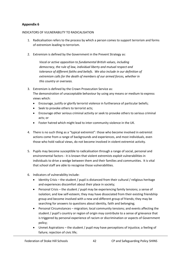#### **Appendix 6**

#### INDICATORS OF VULNERABILITY TO RADICALISATION

- 1. Radicalisation refers to the process by which a person comes to support terrorism and forms of extremism leading to terrorism.
- 2. Extremism is defined by the Government in the Prevent Strategy as:

*Vocal or active opposition to fundamental British values, including democracy, the rule of law, individual liberty and mutual respect and tolerance of different faiths and beliefs. We also include in our definition of extremism calls for the death of members of our armed forces, whether in this country or overseas.*

- 3. Extremism is defined by the Crown Prosecution Service as: The demonstration of unacceptable behaviour by using any means or medium to express views which:
	- Encourage, justify or glorify terrorist violence in furtherance of particular beliefs;
	- Seek to provoke others to terrorist acts;
	- Encourage other serious criminal activity or seek to provoke others to serious criminal acts; or
	- Foster hatred which might lead to inter-community violence in the UK.
- 4. There is no such thing as a "typical extremist": those who become involved in extremist actions come from a range of backgrounds and experiences, and most individuals, even those who hold radical views, do not become involved in violent extremist activity.
- 5. Pupils may become susceptible to radicalisation through a range of social, personal and environmental factors - it is known that violent extremists exploit vulnerabilities in individuals to drive a wedge between them and their families and communities. It is vital that school staff are able to recognise those vulnerabilities.
- 6. Indicators of vulnerability include:
	- Identity Crisis the student / pupil is distanced from their cultural / religious heritage and experiences discomfort about their place in society;
	- Personal Crisis the student / pupil may be experiencing family tensions; a sense of isolation; and low self-esteem; they may have dissociated from their existing friendship group and become involved with a new and different group of friends; they may be searching for answers to questions about identity, faith and belonging;
	- Personal Circumstances migration; local community tensions; and events affecting the student / pupil's country or region of origin may contribute to a sense of grievance that is triggered by personal experience of racism or discrimination or aspects of Government policy;
	- Unmet Aspirations the student / pupil may have perceptions of injustice; a feeling of failure; rejection of civic life;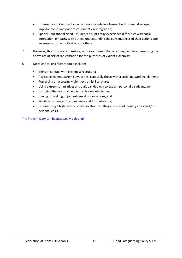- Experiences of Criminality which may include involvement with criminal groups, imprisonment, and poor resettlement / reintegration;
- Special Educational Need students / pupils may experience difficulties with social interaction, empathy with others, understanding the consequences of their actions and awareness of the motivations of others.
- 7. However, this list is not exhaustive, nor does it mean that all young people experiencing the above are at risk of radicalisation for the purposes of violent extremism.
- 8. More critical risk factors could include:
	- Being in contact with extremist recruiters;
	- Accessing violent extremist websites, especially those with a social networking element;
	- Possessing or accessing violent extremist literature;
	- Using extremist narratives and a global ideology to explain personal disadvantage;
	- Justifying the use of violence to solve societal issues;
	- Joining or seeking to join extremist organisations; and
	- Significant changes to appearance and / or behaviour;
	- Experiencing a high level of social isolation resulting in issues of identity crisis and / or personal crisis.

[The Prevent Duty can be accessed via this link.](https://www.gov.uk/government/uploads/system/uploads/attachment_data/file/445977/3799_Revised_Prevent_Duty_Guidance__England_Wales_V2-Interactive.pdf)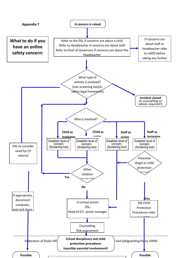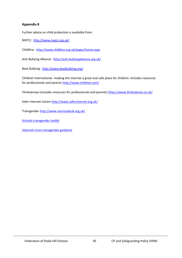#### **Appendix 8**

Further advice on child protection is available from:

NSPCC:<http://www.nspcc.org.uk/>

Childline:<http://www.childline.org.uk/pages/home.aspx>

Anti-Bullying Alliance:<http://anti-bullyingalliance.org.uk/>

Beat Bullying: <http://www.beatbullying.org/>

Childnet International –making the internet a great and safe place for children. Includes resources for professionals and parents<http://www.childnet.com/>

Thinkuknow (includes resources for professionals and parents)<https://www.thinkuknow.co.uk/>

Safer Internet Centre<http://www.saferinternet.org.uk/>

Transgende[r http://www.mermaidsuk.org.uk/](http://www.mermaidsuk.org.uk/)

[Schools transgender toolkit](http://www.mermaidsuk.org.uk/assets/media/East%20Sussex%20schools%20transgender%20toolkit.pdf)

[Intercom trust transgender guidance](https://www.intercomtrust.org.uk/item/55-schools-transgender-guidance-july-2015)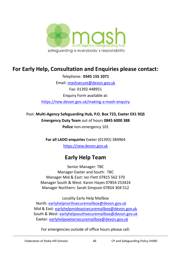

## **For Early Help, Consultation and Enquiries please contact:**

Telephone: **0345 155 1071**

Email: [mashsecure@devon.gov.uk](mailto:mashsecure@devon.gov.uk) Fax: 01392 448951 Enquiry Form available at: [https://new.devon.gov.uk/making-a-mash-enquiry](https://new.devon.gov.uk/educationandfamilies/child-protection/making-a-mash-enquiry)

Post: **Multi-Agency Safeguarding Hub, P.O. Box 723, Exeter EX1 9QS Emergency Duty Team** out of hours **0845 6000 388 Police** non-emergency 101

**For all LADO enquiries** Exeter (01392) 384964

[https://new.devon.gov.uk](https://new.devon.gov.uk/educationandfamilies/child-protection/managing-allegations-against-adults-working-with-children)

# **Early Help Team**

Senior Manager: TBC Manager Exeter and South: TBC Manager Mid & East: Ian Flett 07815 562 370 Manager South & West: Karen Hayes 07854 253424 Manager Northern: Sarah Simpson 07854 304 512

Locality Early Help Mailbox

North: [earlyhelpnorthsecuremailbox@devon.gov.uk](mailto:earlyhelpnorthsecuremailbox@devon.gov.uk) Mid & East: [earlyhelpmideastsecuremailbox@devon.gov.uk](mailto:earlyhelpmideastsecuremailbox@devon.gov.uk) South & West: [earlyhelpsouthsecuremailbox@devon.gov.uk](mailto:earlyhelpsouthsecuremailbox@devon.gov.uk) Exeter: [earlyhelpexetersecuremailbox@devon.gov.uk](mailto:earlyhelpexetersecuremailbox@devon.gov.uk)

For emergencies outside of office hours please call: